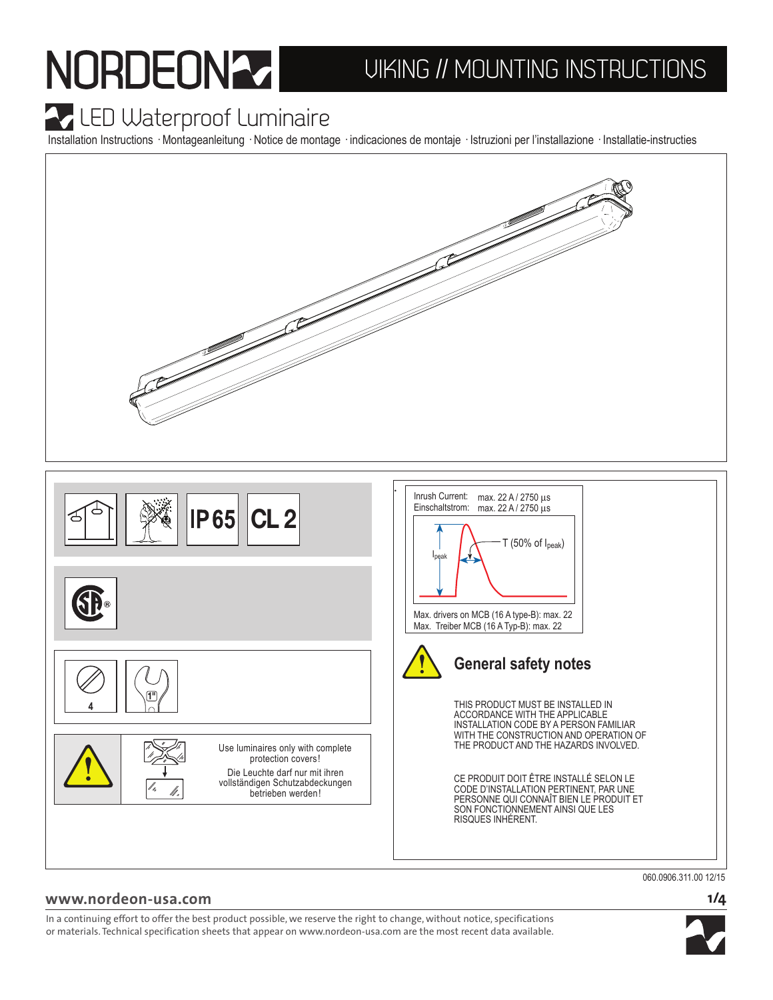# NORDEONA UIKING // MOUNTING INSTRUCTIONS

### **A** LED Waterproof Luminaire

Installation Instructions · Montageanleitung · Notice de montage · indicaciones de montaje · Istruzioni per l'installazione · Installatie-instructies



060.0906.311.00 12/15

#### **1/4**

In a continuing effort to offer the best product possible, we reserve the right to change, without notice, specifications or materials. Technical specification sheets that appear on www.nordeon-usa.com are the most recent data available.

**www.nordeon-usa.com**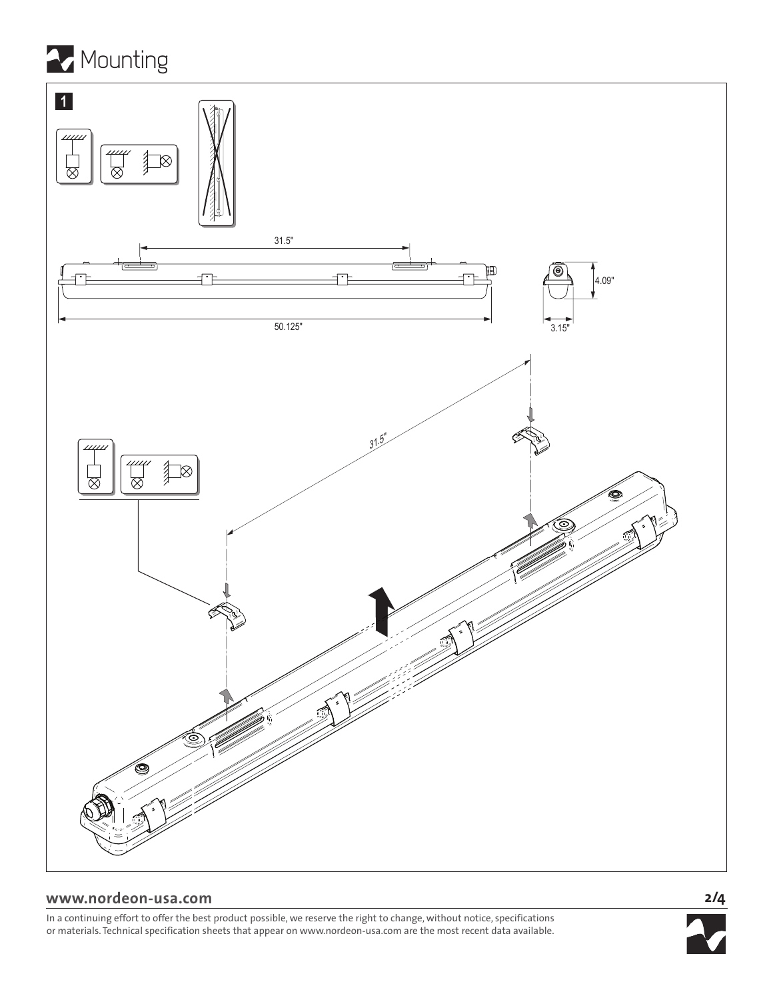



#### **www.nordeon-usa.com**

In a continuing effort to offer the best product possible, we reserve the right to change, without notice, specifications or materials. Technical specification sheets that appear on www.nordeon-usa.com are the most recent data available.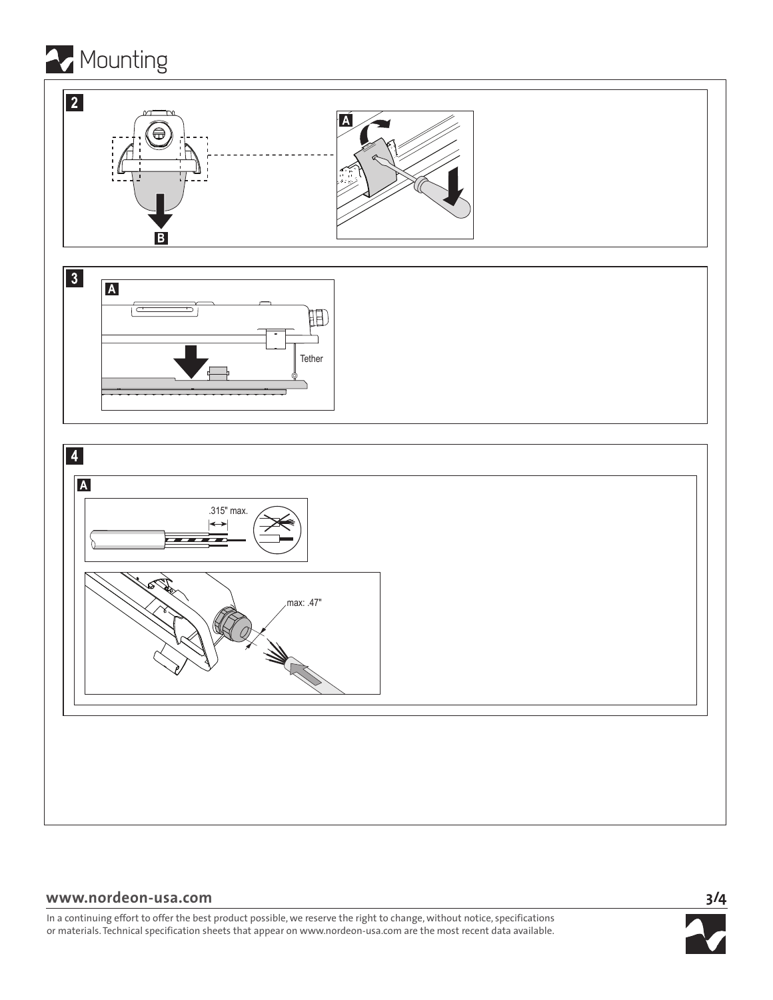

#### **www.nordeon-usa.com**

In a continuing effort to offer the best product possible, we reserve the right to change, without notice, specifications or materials. Technical specification sheets that appear on www.nordeon-usa.com are the most recent data available.

**3/4**